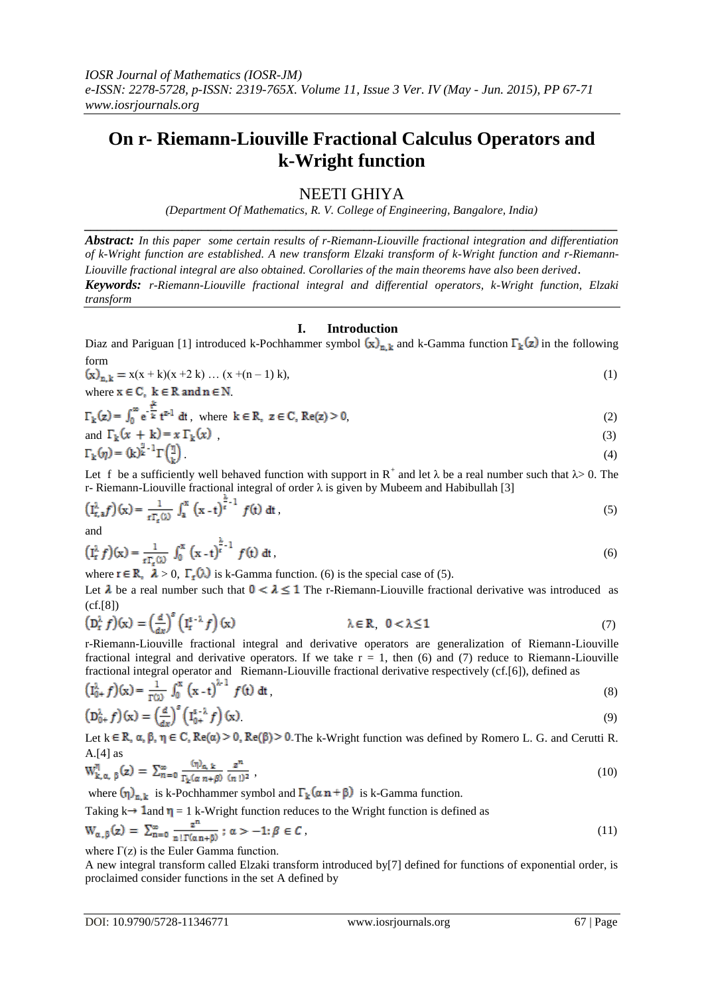## **On r- Riemann-Liouville Fractional Calculus Operators and k-Wright function**

### NEETI GHIYA

*(Department Of Mathematics, R. V. College of Engineering, Bangalore, India) \_\_\_\_\_\_\_\_\_\_\_\_\_\_\_\_\_\_\_\_\_\_\_\_\_\_\_\_\_\_\_\_\_\_\_\_\_\_\_\_\_\_\_\_\_\_\_\_\_\_\_\_\_\_\_\_\_\_\_\_\_\_\_\_\_\_\_\_\_\_\_\_\_\_\_\_\_\_\_\_\_\_*

*Abstract: In this paper some certain results of r-Riemann-Liouville fractional integration and differentiation of k-Wright function are established. A new transform Elzaki transform of k-Wright function and r-Riemann-Liouville fractional integral are also obtained. Corollaries of the main theorems have also been derived*. *Keywords: r-Riemann-Liouville fractional integral and differential operators, k-Wright function, Elzaki transform*

#### **I. Introduction**

Diaz and Pariguan [1] introduced k-Pochhammer symbol  $(x)_{n,k}$  and k-Gamma function  $\Gamma_k(z)$  in the following form

$$
(\mathbf{x})_{\mathbf{n},\mathbf{k}} = \mathbf{x}(\mathbf{x} + \mathbf{k})(\mathbf{x} + 2\mathbf{k}) \dots (\mathbf{x} + (\mathbf{n} - 1)\mathbf{k}),
$$
  
where  $\mathbf{x} \in \mathbf{C}$ ,  $\mathbf{k} \in \mathbf{R}$  and  $\mathbf{n} \in \mathbf{N}$ . (1)

$$
\Gamma_k(z) = \int_0^\infty e^{-\frac{t^k}{k}} t^{z-1} dt, \text{ where } k \in \mathbb{R}, z \in \mathbb{C}, \text{Re}(z) > 0,
$$
\n
$$
(2)
$$

and 
$$
\Gamma_k(x + k) = x \Gamma_k(x) \tag{3}
$$

$$
\Gamma_{\mathbf{k}}(\eta) = (\mathbf{k})^{\mathbf{k}^{-1}} \Gamma\left(\frac{\eta}{\mathbf{k}}\right). \tag{4}
$$

Let f be a sufficiently well behaved function with support in  $R^+$  and let  $\lambda$  be a real number such that  $\lambda > 0$ . The r- Riemann-Liouville fractional integral of order  $\lambda$  is given by Mubeem and Habibullah [3]

$$
\left(\mathbf{I}_{\mathbf{r},\mathbf{a}}^{\lambda}f\right)(\mathbf{x}) = \frac{1}{\mathbf{r}\Gamma_{\mathbf{r}}(\lambda)}\int_{\mathbf{a}}^{x}\left(\mathbf{x} - \mathbf{t}\right)^{\frac{\lambda}{\mathbf{r}}-1}f(\mathbf{t})\,\mathrm{d}\mathbf{t}\,,\tag{5}
$$

and

$$
\left(\mathbf{I}_\mathbf{r}^\lambda f\right)(\mathbf{x}) = \frac{1}{\mathbf{r}\,\mathbf{r}_\mathbf{r}(\lambda)} \int_0^\mathbf{x} \left(\mathbf{x} - \mathbf{t}\right)^{\frac{\lambda}{\mathbf{r}} - 1} f(\mathbf{t}) \; \mathrm{d}\mathbf{t} \,,\tag{6}
$$

where  $\mathbf{r} \in \mathbb{R}$ ,  $\lambda > 0$ ,  $\Gamma_{\mathbf{r}}(\lambda)$  is k-Gamma function. (6) is the special case of (5).

Let  $\lambda$  be a real number such that  $0 < \lambda \le 1$  The r-Riemann-Liouville fractional derivative was introduced as (cf.[8])

$$
\left(\mathbf{D}_{\mathbf{r}}^{\lambda} f\right)(\mathbf{x}) = \left(\frac{d}{dx}\right)^{s} \left(\mathbf{I}_{\mathbf{r}}^{s-\lambda} f\right)(\mathbf{x}) \qquad \lambda \in \mathbb{R}, \quad 0 < \lambda \le 1 \tag{7}
$$

r-Riemann-Liouville fractional integral and derivative operators are generalization of Riemann-Liouville fractional integral and derivative operators. If we take  $r = 1$ , then (6) and (7) reduce to Riemann-Liouville fractional integral operator and Riemann-Liouville fractional derivative respectively (cf.[6]), defined as

$$
\left(\mathbf{I}_{0+}^{\lambda} f\right)(\mathbf{x}) = \frac{1}{\Gamma(\lambda)} \int_{0}^{\mathbf{x}} \left(\mathbf{x} \cdot \mathbf{t}\right)^{\lambda - 1} f(\mathbf{t}) \, \mathrm{d}\mathbf{t} \,,\tag{8}
$$

$$
\left(\mathbf{D}_{0+}^{\lambda} f\right)(\mathbf{x}) = \left(\frac{d}{dx}\right)^{s} \left(\mathbf{I}_{0+}^{s-\lambda} f\right)(\mathbf{x})
$$
\n(9)

Let  $k \in \mathbb{R}$ ,  $\alpha$ ,  $\beta$ ,  $\eta \in \mathbb{C}$ ,  $\text{Re}(\alpha) > 0$ ,  $\text{Re}(\beta) > 0$ . The k-Wright function was defined by Romero L. G. and Cerutti R. A. $[4]$  as  $\mathbb{R}^2$ 

$$
W_{k,\alpha,\beta}^{\eta}(z) = \sum_{n=0}^{\infty} \frac{(\eta)_{\alpha,\,k}}{\Gamma_k(\alpha \, n+\beta)} \frac{z^n}{(n\,!)^2} \,, \tag{10}
$$

where  $(\eta)_{n,k}$  is k-Pochhammer symbol and  $\Gamma_k(\alpha n + \beta)$  is k-Gamma function.

Taking 
$$
k \rightarrow 1
$$
 and  $\eta = 1$  k-Wright function reduces to the Wright function is defined as  $W_{\alpha,\beta}(z) = \sum_{n=0}^{\infty} \frac{z^n}{n! \Gamma(\alpha n + \beta)}; \alpha > -1; \beta \in \mathcal{C}$ ,  $(11)$ 

where  $\Gamma(z)$  is the Euler Gamma function.

A new integral transform called Elzaki transform introduced by[7] defined for functions of exponential order, is proclaimed consider functions in the set A defined by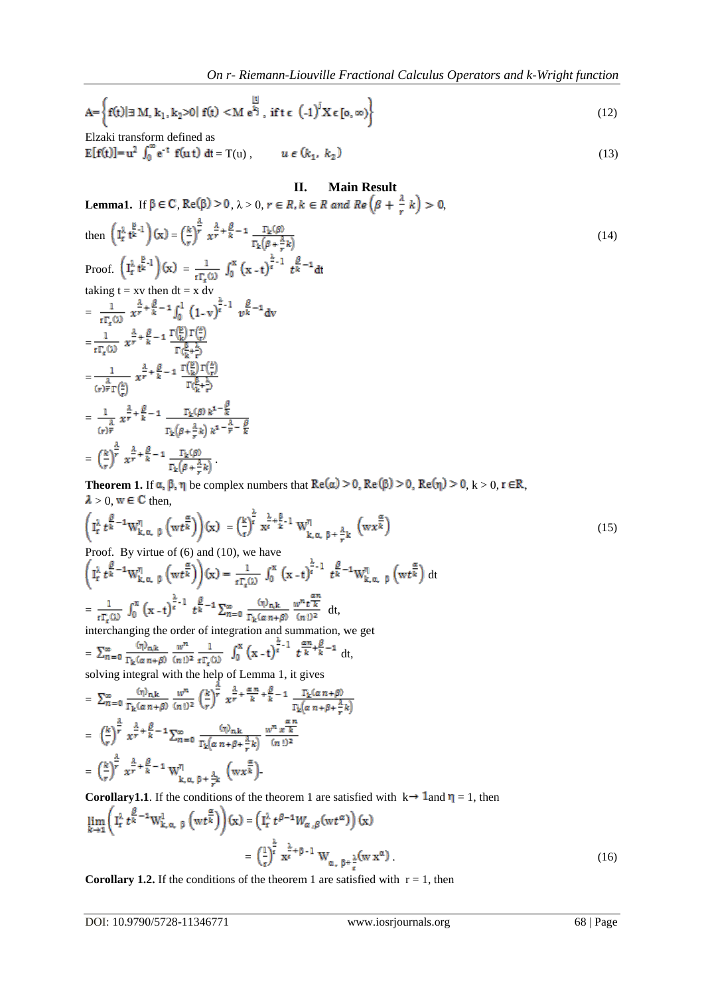$$
A = \left\{ f(t) | \exists M, k_1, k_2 > 0 | f(t) < M e^{\frac{|t|}{k_1}}, \text{ if } t \in (-1)^j X \in [0, \infty) \right\}
$$
(12)

Elzaki transform defined as  $E[f(t)] = u^2 \int_0^{\infty} e^{-t} f(u t) dt = T(u)$ ,  $u \in (k_1, k_2)$  (13)

# **II. Main Result Lemma1.** If  $\beta \in \mathbb{C}$ ,  $\text{Re}(\beta) > 0$ ,  $\lambda > 0$ ,  $r \in R$ ,  $k \in R$  and  $\text{Re}(\beta + \frac{\lambda}{r}k) > 0$ , then  $\left(\mathbf{I}_{\rm r}^{\lambda} \mathbf{t}^{\frac{\beta}{\lambda}-1}\right)(\mathbf{x}) = \left(\frac{k}{r}\right)^{\frac{\lambda}{r}} x^{\frac{\lambda}{r} + \frac{\beta}{k} - 1} \frac{\Gamma_{\rm k}(\beta)}{\Gamma_{\rm k}(\beta + \frac{\lambda}{\lambda})}$  (14) Proof.  $\left( \hat{I}_r^{\lambda} t^{\frac{\beta}{k}-1} \right) (x) = \frac{1}{t \Gamma_r(\lambda)} \int_0^x (x-t)^{\frac{\lambda}{r}-1} t^{\frac{\beta}{k}-1} dt$ taking  $t = xv$  then  $dt = x dv$ =  $=\frac{1}{r\Gamma_{\rm c}(\lambda)}\frac{\lambda}{x^{\frac{\lambda}{r}}+\frac{\beta}{k}-1}\frac{\Gamma\left(\frac{\beta}{k}\right)\Gamma\left(\frac{\lambda}{r}\right)}{\Gamma\left(\frac{\beta}{r}+\frac{\lambda}{r}\right)}$  $=\frac{1}{\binom{\lambda}{r}\overline{r}\Gamma\left(\frac{\lambda}{r}\right)}\frac{\lambda}{r}+\frac{\beta}{k}-1\ \frac{\Gamma\left(\frac{\beta}{k}\right)\Gamma\left(\frac{\lambda}{r}\right)}{\Gamma\left(\frac{\beta}{k}+\frac{\lambda}{r}\right)}$  $= \frac{1}{(r)^{\frac{3}{r}}} \, x^{\frac{3}{r}+\frac{\beta}{k}-1} \, \frac{\Gamma_k(\beta) \, k^{1-\frac{\beta}{k}}}{\Gamma_k(\beta+\frac{\lambda}{r}) \, k^{1-\frac{\lambda}{r}-\frac{\beta}{k}}}$  $= \left(\frac{k}{r}\right)^{\frac{\lambda}{r}} x^{\frac{\lambda}{r} + \frac{\beta}{k} - 1} \frac{\Gamma_k(\beta)}{\Gamma_k(\beta + \frac{\lambda}{r} k)}.$

**Theorem 1.** If  $\alpha$ ,  $\beta$ ,  $\eta$  be complex numbers that  $\text{Re}(\alpha) > 0$ ,  $\text{Re}(\beta) > 0$ ,  $\text{Re}(\eta) > 0$ ,  $k > 0$ ,  $r \in \mathbb{R}$ ,  $\lambda > 0$ , w  $\in$  C then,

$$
\left(\mathbf{I}_{\mathbf{r}}^{\lambda} t^{\frac{\beta}{k}-1} \mathbf{W}_{\mathbf{k},\alpha,\beta}^{\eta} \left(\mathbf{w} t^{\frac{\alpha}{k}}\right)\right)(\mathbf{x}) = \left(\frac{\mathbf{k}}{\mathbf{r}}\right)^{\frac{\lambda}{\alpha}} \mathbf{x}^{\frac{\lambda}{\alpha}+\frac{\beta}{k}-1} \mathbf{W}_{\mathbf{k},\alpha,\beta}^{\eta} + \frac{\lambda}{r} \mathbf{k} \left(\mathbf{w} \mathbf{x}^{\frac{\alpha}{k}}\right) \tag{15}
$$

dt

Proof. By virtue of (6) and (10), we have

 $= \frac{1}{\mathfrak{r} \Gamma_{\epsilon}(\mathfrak{O})} \ \int_0^x \left(x-t\right)^{\frac{\lambda}{\epsilon}-1} \ t^{\frac{\beta}{k}-1} \sum_{n=0}^{\infty} \ \frac{(\eta)_{n,k}}{\Gamma_{k}(\alpha\,n+\beta)} \ \frac{w^n\, t^{\frac{\alpha n}{k}}}{(n\,!)^2} \ \mathrm{d}t,$ 

interchanging the order of integration and summation, we get

$$
= \sum_{n=0}^{\infty} \frac{(\eta)_{n,k}}{\Gamma_k(\alpha n + \beta)} \frac{w^n}{(n!)^2} \frac{1}{t\Gamma_k(\lambda)} \int_0^x (x - t)^{\frac{\alpha}{t} - 1} t^{\frac{\alpha n}{k} + \frac{\beta}{k} - 1} dt,
$$
  
solving integral with the help of Lemma 1, it gives

$$
= \sum_{n=0}^{\infty} \frac{(\eta)_{n,k}}{\Gamma_{k}(\alpha n+\beta)} \frac{w^{n}}{(n!)^{2}} \left(\frac{k}{r}\right)^{\frac{\alpha}{r}} x^{\frac{\lambda}{r} + \frac{\alpha n}{k} + \frac{\beta}{k} - 1} \frac{\Gamma_{k}(\alpha n+\beta)}{\Gamma_{k}(\alpha n+\beta + \frac{\lambda}{r}k)}
$$
  

$$
= \left(\frac{k}{r}\right)^{\frac{\lambda}{r}} x^{\frac{\lambda}{r} + \frac{\beta}{k} - 1} \sum_{n=0}^{\infty} \frac{(\eta)_{n,k}}{\Gamma_{k}(\alpha n+\beta + \frac{\lambda}{r}k)} \frac{w^{n} x^{\frac{\alpha n}{k}}}{(n!)^{2}}
$$
  

$$
= \left(\frac{k}{r}\right)^{\frac{\lambda}{r}} x^{\frac{\lambda}{r} + \frac{\beta}{k} - 1} W_{k,\alpha,\beta + \frac{\lambda}{r}k}^{n} \left( wx^{\frac{\alpha}{k}} \right).
$$

**Corollary1.1**. If the conditions of the theorem 1 are satisfied with  $k \rightarrow 1$  and  $\eta = 1$ , then

$$
\lim_{k \to 1} \left( I_r^{\lambda} t^{\frac{\beta}{k} - 1} W_{k, \alpha, \beta}^1 \left( wt^{\frac{\alpha}{k}} \right) \right) (x) = \left( I_r^{\lambda} t^{\beta - 1} W_{\alpha, \beta} (wt^{\alpha}) \right) (x)
$$
\n
$$
= \left( \frac{1}{t} \right)^{\frac{\lambda}{k}} x^{\frac{\lambda}{k} + \beta - 1} W_{\alpha, \beta + \frac{\lambda}{t}} (w x^{\alpha})
$$
\n(16)

**Corollary 1.2.** If the conditions of the theorem 1 are satisfied with  $r = 1$ , then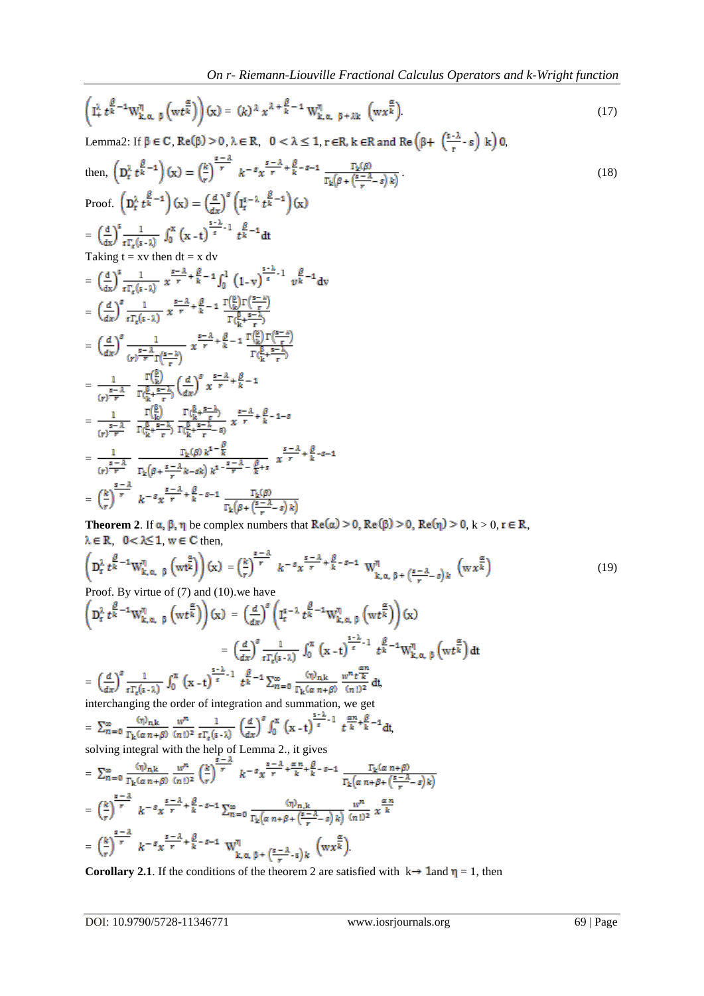$$
\left(I_{+}^{\lambda} t^{\frac{\beta}{k}-1} W_{k,\alpha,\beta}^{\eta}\left(w t^{\frac{\alpha}{k}}\right)\right)(x) = (k)^{\lambda} x^{\lambda+\frac{\beta}{k}-1} W_{k,\alpha,\beta+\lambda k}^{\eta}\left(w x^{\frac{\alpha}{k}}\right).
$$
\n(17)

Lemma2: If  $\beta \in C$ ,  $\text{Re}(\beta) > 0$ ,  $\lambda \in \mathbb{R}$ ,  $0 < \lambda \leq 1$ ,  $r \in \mathbb{R}$ ,  $k \in \mathbb{R}$  and  $\text{Re}(\beta + \left(\frac{s - \lambda}{r} - s\right)k)$ ,

then, 
$$
\left(D_t^{\lambda} t^{\frac{\beta}{k}-1}\right)(x) = \left(\frac{k}{r}\right)^{\frac{s-2}{r}}
$$
  $k^{-s}x^{\frac{s-2}{r}} + \frac{\beta}{k^{-s}-1} \frac{\Gamma_k(\beta)}{\Gamma_k(\beta + (\frac{s-2}{r}-s))k}$   
\nProof.  $\left(D_t^{\lambda} t^{\frac{\beta}{k}-1}\right)(x) = \left(\frac{d}{dx}\right)^s \left(I_t^{s-1} t^{\frac{\beta}{k}-1}\right)(x)$   
\n $= \left(\frac{d}{dx}\right)^s \frac{1}{t\Gamma_t(s-1)} \int_0^x (x-t)^{\frac{s-2}{r}-1} t^{\frac{\beta}{k}-1} dt$   
\nTaking  $t = xv$  then  $dt = x$  dv  
\n $= \left(\frac{d}{dx}\right)^s \frac{1}{t\Gamma_t(s-1)} x^{\frac{s-2}{r}} + \frac{\beta}{k} - 1 \int_0^1 (1-v)^{\frac{s-2}{r}-1} v^{\frac{\beta}{k}-1} dv$   
\n $= \left(\frac{d}{dx}\right)^s \frac{1}{t\Gamma_t(s-1)} x^{\frac{s-2}{r}} + \frac{\beta}{k} - 1 \frac{\Gamma_k(\beta)\Gamma(\frac{s-1}{r})}{\Gamma(\frac{\beta}{k} + \frac{s-1}{r})}$   
\n $= \left(\frac{d}{dx}\right)^s \frac{1}{(r\Gamma_t(s-1))} x^{\frac{s-2}{r}} + \frac{\beta}{k} - 1 \frac{\Gamma_k(\beta)\Gamma(\frac{s-1}{r})}{\Gamma(\frac{\beta}{k} + \frac{s-1}{r})}$   
\n $= \frac{1}{(r)^{\frac{s-2}{r}}} \frac{\Gamma(\frac{\beta}{k})}{\Gamma(\frac{\beta}{k} + \frac{s-1}{r})} \left(\frac{d}{dx}\right)^s x^{\frac{s-2}{r}} + \frac{\beta}{k} - 1$   
\n $= \frac{1}{(r)^{\frac{s-2}{r}}} \frac{\Gamma(\frac{\beta}{k})}{\Gamma(\frac{\beta}{k} + \frac{s-1}{r})} \frac{\Gamma(\frac{\beta}{k} + \frac{s-1}{r})}{\Gamma(\frac{\beta}{k} + \frac{s-1}{r})} x^{\frac{s-2}{r}} + \frac{\beta}{k} - 1 - s$   
\n $= \frac{1}{(r)^{\frac{s-2}{r}}} \frac$ 

**Theorem 2.** If  $\alpha$ ,  $\beta$ ,  $\eta$  be complex numbers that  $\text{Re}(\alpha) > 0$ ,  $\text{Re}(\beta) > 0$ ,  $\text{Re}(\eta) > 0$ ,  $k > 0$ ,  $r \in \mathbb{R}$ ,  $\lambda \in \mathbb{R}$   $0 < \lambda \leq 1$ ,  $w \in C$  then,

$$
\left(D_r^{\lambda} t^{\frac{\beta}{k}-1} W_{k,\alpha,\beta}^{\eta}\left(w t^{\frac{\alpha}{k}}\right)\right)(x) = \left(\frac{k}{r}\right)^{\frac{s-\lambda}{r}} k^{-s} x^{\frac{s-\lambda}{r} + \frac{\beta}{k}-s-1} W_{k,\alpha,\beta+\left(\frac{s-\lambda}{r}-s\right)k}^{\eta}\left(w x^{\frac{\alpha}{k}}\right)
$$
\n(19)

1667. By write of (7) and (16). We have  
\n
$$
\left(D_t^{\lambda} t^{\frac{\beta}{k}-1} W_{k,\alpha,\beta}^{\eta} \left(w t^{\frac{\alpha}{k}}\right)\right)(x) = \left(\frac{d}{dx}\right)^{\beta} \left(I_t^{5-\lambda} t^{\frac{\beta}{k}-1} W_{k,\alpha,\beta}^{\eta} \left(w t^{\frac{\alpha}{k}}\right)\right)(x)
$$
\n
$$
= \left(\frac{d}{dx}\right)^{\beta} \frac{1}{t\Gamma_t(s-\lambda)} \int_0^x (x-t)^{\frac{s-\lambda}{t}-1} t^{\frac{\beta}{k}-1} W_{k,\alpha,\beta}^{\eta} \left(w t^{\frac{\alpha}{k}}\right) dt
$$
\n
$$
= \left(\frac{d}{dx}\right)^{\beta} \frac{1}{t\Gamma_t(s-\lambda)} \int_0^x (x-t)^{\frac{s-\lambda}{t}-1} t^{\frac{\beta}{k}-1} \sum_{n=0}^\infty \frac{(\eta)_{n,k}}{\Gamma_k(\alpha n+\beta)} \frac{w^n t^{\frac{\alpha}{k}}}{(n!)^2} dt,
$$

interchanging the order of integration and summation, we get

$$
= \sum_{n=0}^{\infty} \frac{(\eta)_{n,k}}{\Gamma_k(\alpha n + \beta)} \frac{w^n}{(n!)^2} \frac{1}{t \Gamma_k(s- \lambda)} \left(\frac{d}{dx}\right)^s \int_0^x (x-t)^{\frac{s-\lambda}{s}-1} t^{\frac{\alpha n}{k} + \frac{\beta}{k} - 1} dt,
$$
  
solving integral with the help of Lemma 2., it gives

$$
= \sum_{n=0}^{\infty} \frac{(\eta)_{n,k}}{\Gamma_{k}(\alpha n+\beta)} \frac{w^{n}}{(n!)^{2}} \left(\frac{k}{r}\right)^{\frac{s-3}{r}} k^{-s} x^{\frac{s-3}{r} + \frac{\alpha n}{k} + \frac{\beta}{k} - s - 1} \frac{\Gamma_{k}(\alpha n+\beta)}{\Gamma_{k}(\alpha n+\beta + (\frac{s-3}{r}-s)k)}
$$
  
\n
$$
= \left(\frac{k}{r}\right)^{\frac{s-3}{r}} k^{-s} x^{\frac{s-3}{r} + \frac{\beta}{k} - s - 1} \sum_{n=0}^{\infty} \frac{(\eta)_{n,k}}{\Gamma_{k}(\alpha n+\beta + (\frac{s-3}{r}-s)k)} \frac{w^{n}}{(n!)^{2}} x^{\frac{\alpha n}{k}}
$$
  
\n
$$
= \left(\frac{k}{r}\right)^{\frac{s-3}{r}} k^{-s} x^{\frac{s-3}{r} + \frac{\beta}{k} - s - 1} W_{k,\alpha,\beta + (\frac{s-3}{r}-s)k}^{\eta} \left(w x^{\frac{\alpha}{k}}\right)
$$

**Corollary 2.1**. If the conditions of the theorem 2 are satisfied with  $k \rightarrow 1$  and  $\eta = 1$ , then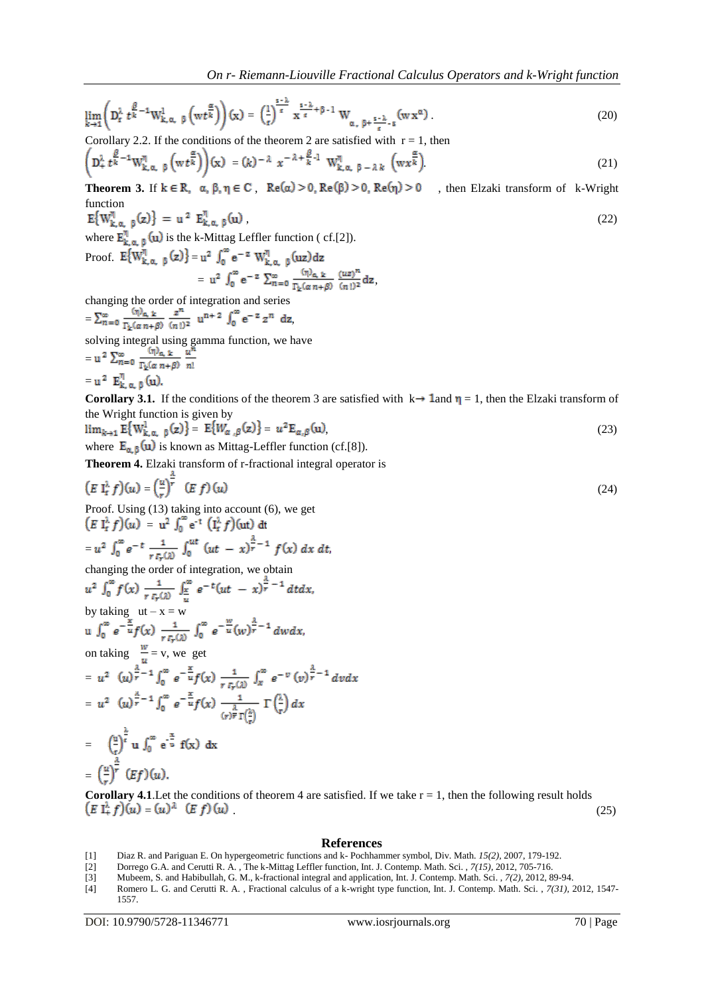$\lim_{k\to 1}\left(D_t^{\lambda} t^{\frac{\beta}{k}-1}\mathbf{W}_{k,\alpha,-\beta}^1\left(\mathbf{w} t^{\frac{\alpha}{k}}\right)\right)(\mathbf{x})=\left(\frac{1}{t}\right)^{\frac{s-\lambda}{t}}\mathbf{x}^{\frac{s-\lambda}{t}+\beta-1}\mathbf{W}_{\alpha,-\beta+\frac{s-\lambda}{t}-\delta}(\mathbf{w}\,\mathbf{x}^\alpha). \tag{20}$ 

Corollary 2.2. If the conditions of the theorem 2 are satisfied with  $r = 1$ , then

$$
\left(\mathbf{D}_{+}^{\lambda} t^{\frac{\beta}{k}-1} \mathbf{W}_{\mathbf{k},\alpha,-\beta}^{\eta} \left(\mathbf{w} t^{\frac{\alpha}{k}}\right)\right)(\mathbf{x}) = (k)^{-\lambda} x^{-\lambda+\frac{\beta}{k}-1} \mathbf{W}_{\mathbf{k},\alpha,-\beta-\lambda k}^{\eta} \left(\mathbf{w} x^{\frac{\alpha}{k}}\right).
$$
 (21)

**Theorem 3.** If  $k \in \mathbb{R}$ ,  $\alpha, \beta, \eta \in \mathbb{C}$ ,  $\text{Re}(\alpha) > 0$ ,  $\text{Re}(\beta) > 0$ ,  $\text{Re}(\eta) > 0$ , then Elzaki transform of k-Wright  $\begin{array}{l} \text{function}\\ \mathbb{E}\big\{W_{k,\,\alpha,\ \ \beta}^{\eta}(z)\big\}\ =\ u^{\,2}\ \mathbb{E}_{k,\,\alpha,\ \ \beta}^{\eta}(u)\ , \end{array}$ 

 $,$  (22)

where  $\mathbf{E}_{\mathbf{k},\alpha,\beta}^{\eta}(\mathbf{u})$  is the k-Mittag Leffler function ( cf.[2]).

Proof. 
$$
E{W_{k, \alpha, \beta}^{\eta}(z)} = u^2 \int_0^{\infty} e^{-z} W_{k, \alpha, \beta}^{\eta}(uz) dz
$$
  
=  $u^2 \int_0^{\infty} e^{-z} \sum_{n=0}^{\infty} \frac{(\eta)_{\alpha, k}}{\Gamma_k(\alpha n + \beta)} \frac{(uz)^n}{(n!)^2} dz$ ,

changing the order of integration and series

 $=\sum_{n=0}^{\infty} \frac{1}{\Gamma_{1}(n n + \delta)} \frac{1}{(n \beta)^2} u^{n+2} J_0 e^{-z} z^n dz,$ solving integral using gamma function, we have =  $=$  u<sup>2</sup>  $E_{k,\alpha,\beta}^{\eta}$  (u).

**Corollary 3.1.** If the conditions of the theorem 3 are satisfied with  $k \rightarrow 1$  and  $\eta = 1$ , then the Elzaki transform of the Wright function is given by

$$
\lim_{k \to 1} \mathbb{E}\{W_{k,\alpha,\beta}^1(z)\} = \mathbb{E}\{W_{\alpha,\beta}(z)\} = u^2 \mathbb{E}_{\alpha,\beta}(u),\tag{23}
$$

where  $\mathbf{E}_{\alpha, \beta}(\mathbf{u})$  is known as Mittag-Leffler function (cf.[8]).

**Theorem 4.** Elzaki transform of r-fractional integral operator is

$$
\left(E \t{1}_f^{\lambda} f\right)(u) = \left(\frac{u}{r}\right)^{\overline{r}} \quad \text{(E } f\text{)}\left(u\right)
$$
\nProof. Using (13) taking into account (6), we get

\n
$$
\left(E \t{1}_f^{\lambda} f\right)(u) = u^2 \int_0^\infty e^{-t} \left(\t{1}_f^{\lambda} f\right)(ut) dt
$$
\n(24)

$$
=u^2\,\int_0^{\infty}e^{-t}\,\frac{1}{r\,r_r(x)}\,\int_0^{ut}\,(ut\,-\,x)^{\frac{\lambda}{r}-1}\,f(x)\,dx\,dt
$$

changing the order of integration, we obtain

$$
u^{2} \int_{0}^{\infty} f(x) \frac{1}{r r_{r}(x)} \int_{\frac{x}{u}}^{\infty} e^{-t} (ut - x)^{\frac{1}{r}} - 1 dt dx,
$$
  
by taking  $ut - x = w$   
 $u \int_{0}^{\infty} e^{-\frac{x}{u}} f(x) \frac{1}{r r_{r}(x)} \int_{0}^{\infty} e^{-\frac{w}{u}} (w)^{\frac{\lambda}{r}} - 1 dw dx,$   
on taking  $\frac{w}{u} = v$ , we get  

$$
= u^{2} (u)^{\frac{\lambda}{r}} - 1 \int_{0}^{\infty} e^{-\frac{x}{u}} f(x) \frac{1}{r r_{r}(x)} \int_{x}^{\infty} e^{-v} (v)^{\frac{\lambda}{r}} - 1 dv dx
$$

$$
= u^{2} (u)^{\frac{\lambda}{r}} - 1 \int_{0}^{\infty} e^{-\frac{x}{u}} f(x) \frac{1}{(r)^{\frac{\lambda}{r}} \Gamma(\frac{\lambda}{r})} \Gamma(\frac{\lambda}{r}) dx
$$

$$
= (\frac{u}{r})^{\frac{\lambda}{r}} u \int_{0}^{\infty} e^{-\frac{x}{u}} f(x) dx
$$

$$
= (\frac{u}{r})^{\frac{\lambda}{r}} (Ef)(u).
$$

**Corollary 4.1**. Let the conditions of theorem 4 are satisfied. If we take  $r = 1$ , then the following result holds  $(E I_{+}^{\lambda} f)(u) = (u)^{\lambda} (E f)(u)$  (25)

#### **References**

- [1] Diaz R. and Pariguan E. On hypergeometric functions and k- Pochhammer symbol, Div. Math. *15(2),* 2007, 179-192.
- [2] Dorrego G.A. and Cerutti R. A. , The k-Mittag Leffler function, Int. J. Contemp. Math. Sci. , *7(15)*, 2012, 705-716.
- [3] Mubeem, S. and Habibullah, G. M., k-fractional integral and application, Int. J. Contemp. Math. Sci. , *7(2),* 2012, 89-94.
- [4] Romero L. G. and Cerutti R. A. , Fractional calculus of a k-wright type function, Int. J. Contemp. Math. Sci. , *7(31),* 2012, 1547- 1557.